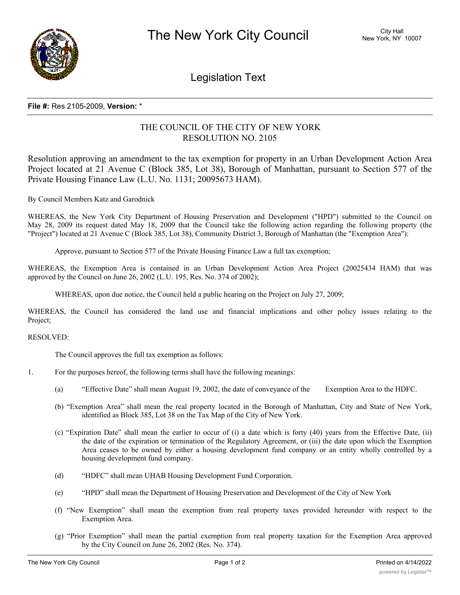

Legislation Text

## **File #:** Res 2105-2009, **Version:** \*

## THE COUNCIL OF THE CITY OF NEW YORK RESOLUTION NO. 2105

Resolution approving an amendment to the tax exemption for property in an Urban Development Action Area Project located at 21 Avenue C (Block 385, Lot 38), Borough of Manhattan, pursuant to Section 577 of the Private Housing Finance Law (L.U. No. 1131; 20095673 HAM).

By Council Members Katz and Garodnick

WHEREAS, the New York City Department of Housing Preservation and Development ("HPD") submitted to the Council on May 28, 2009 its request dated May 18, 2009 that the Council take the following action regarding the following property (the "Project") located at 21 Avenue C (Block 385, Lot 38), Community District 3, Borough of Manhattan (the "Exemption Area"):

Approve, pursuant to Section 577 of the Private Housing Finance Law a full tax exemption;

WHEREAS, the Exemption Area is contained in an Urban Development Action Area Project (20025434 HAM) that was approved by the Council on June 26, 2002 (L.U. 195, Res. No. 374 of 2002);

WHEREAS, upon due notice, the Council held a public hearing on the Project on July 27, 2009;

WHEREAS, the Council has considered the land use and financial implications and other policy issues relating to the Project;

RESOLVED:

The Council approves the full tax exemption as follows:

- 1. For the purposes hereof, the following terms shall have the following meanings:
	- (a) "Effective Date" shall mean August 19, 2002, the date of conveyance of the Exemption Area to the HDFC.
	- (b) "Exemption Area" shall mean the real property located in the Borough of Manhattan, City and State of New York, identified as Block 385, Lot 38 on the Tax Map of the City of New York.
	- (c) "Expiration Date" shall mean the earlier to occur of (i) a date which is forty (40) years from the Effective Date, (ii) the date of the expiration or termination of the Regulatory Agreement, or (iii) the date upon which the Exemption Area ceases to be owned by either a housing development fund company or an entity wholly controlled by a housing development fund company.
	- (d) "HDFC" shall mean UHAB Housing Development Fund Corporation.
	- (e) "HPD" shall mean the Department of Housing Preservation and Development of the City of New York
	- (f) "New Exemption" shall mean the exemption from real property taxes provided hereunder with respect to the Exemption Area.
	- (g) "Prior Exemption" shall mean the partial exemption from real property taxation for the Exemption Area approved by the City Council on June 26, 2002 (Res. No. 374).